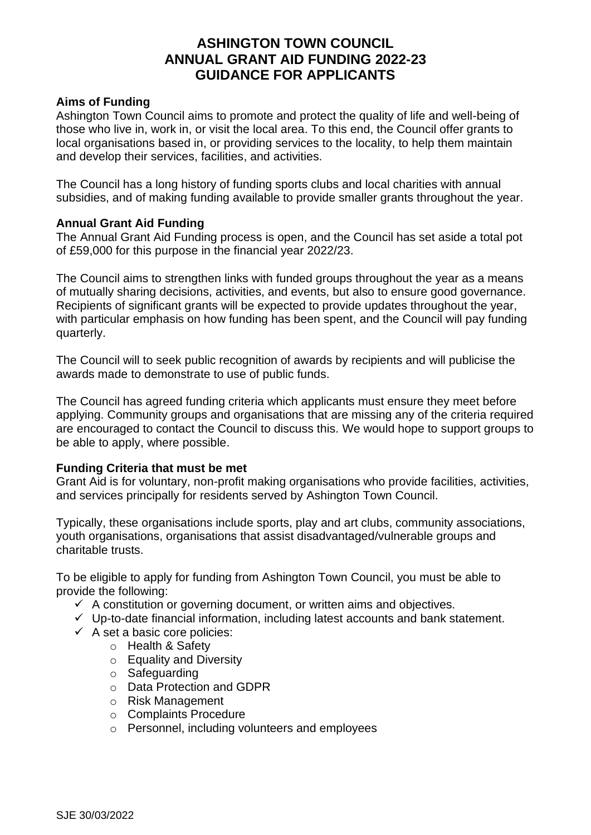# **ASHINGTON TOWN COUNCIL ANNUAL GRANT AID FUNDING 2022-23 GUIDANCE FOR APPLICANTS**

## **Aims of Funding**

Ashington Town Council aims to promote and protect the quality of life and well-being of those who live in, work in, or visit the local area. To this end, the Council offer grants to local organisations based in, or providing services to the locality, to help them maintain and develop their services, facilities, and activities.

The Council has a long history of funding sports clubs and local charities with annual subsidies, and of making funding available to provide smaller grants throughout the year.

## **Annual Grant Aid Funding**

The Annual Grant Aid Funding process is open, and the Council has set aside a total pot of £59,000 for this purpose in the financial year 2022/23.

The Council aims to strengthen links with funded groups throughout the year as a means of mutually sharing decisions, activities, and events, but also to ensure good governance. Recipients of significant grants will be expected to provide updates throughout the year, with particular emphasis on how funding has been spent, and the Council will pay funding quarterly.

The Council will to seek public recognition of awards by recipients and will publicise the awards made to demonstrate to use of public funds.

The Council has agreed funding criteria which applicants must ensure they meet before applying. Community groups and organisations that are missing any of the criteria required are encouraged to contact the Council to discuss this. We would hope to support groups to be able to apply, where possible.

## **Funding Criteria that must be met**

Grant Aid is for voluntary, non-profit making organisations who provide facilities, activities, and services principally for residents served by Ashington Town Council.

Typically, these organisations include sports, play and art clubs, community associations, youth organisations, organisations that assist disadvantaged/vulnerable groups and charitable trusts.

To be eligible to apply for funding from Ashington Town Council, you must be able to provide the following:

- $\checkmark$  A constitution or governing document, or written aims and objectives.
- ✓ Up-to-date financial information, including latest accounts and bank statement.
- $\checkmark$  A set a basic core policies:
	- o Health & Safety
	- o Equality and Diversity
	- o Safeguarding
	- o Data Protection and GDPR
	- o Risk Management
	- o Complaints Procedure
	- o Personnel, including volunteers and employees